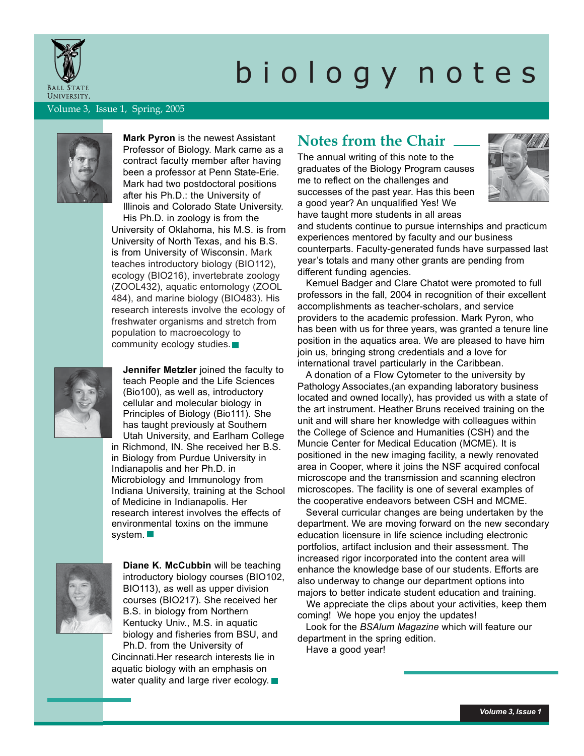

# b i o l o g y n o t e s

Volume 3, Issue 1, Spring, 2005



Professor of Biology. Mark came as a contract faculty member after having been a professor at Penn State-Erie. Mark had two postdoctoral positions after his Ph.D.: the University of Illinois and Colorado State University. His Ph.D. in zoology is from the University of Oklahoma, his M.S. is from University of North Texas, and his B.S. is from University of Wisconsin. Mark teaches introductory biology (BIO112), ecology (BIO216), invertebrate zoology (ZOOL432), aquatic entomology (ZOOL 484), and marine biology (BIO483). His research interests involve the ecology of freshwater organisms and stretch from population to macroecology to community ecology studies.



**Jennifer Metzler** joined the faculty to teach People and the Life Sciences (Bio100), as well as, introductory cellular and molecular biology in Principles of Biology (Bio111). She has taught previously at Southern Utah University, and Earlham College in Richmond, IN. She received her B.S.

in Biology from Purdue University in Indianapolis and her Ph.D. in Microbiology and Immunology from Indiana University, training at the School of Medicine in Indianapolis. Her research interest involves the effects of environmental toxins on the immune system.



**Diane K. McCubbin** will be teaching introductory biology courses (BIO102, BIO113), as well as upper division courses (BIO217). She received her B.S. in biology from Northern Kentucky Univ., M.S. in aquatic biology and fisheries from BSU, and Ph.D. from the University of Cincinnati.Her research interests lie in aquatic biology with an emphasis on water quality and large river ecology.

# **Mark Pyron** is the newest Assistant **Notes from the Chair**

The annual writing of this note to the graduates of the Biology Program causes me to reflect on the challenges and successes of the past year. Has this been a good year? An unqualified Yes! We have taught more students in all areas



and students continue to pursue internships and practicum experiences mentored by faculty and our business counterparts. Faculty-generated funds have surpassed last year's totals and many other grants are pending from different funding agencies.

 Kemuel Badger and Clare Chatot were promoted to full professors in the fall, 2004 in recognition of their excellent accomplishments as teacher-scholars, and service providers to the academic profession. Mark Pyron, who has been with us for three years, was granted a tenure line position in the aquatics area. We are pleased to have him join us, bringing strong credentials and a love for international travel particularly in the Caribbean.

 A donation of a Flow Cytometer to the university by Pathology Associates,(an expanding laboratory business located and owned locally), has provided us with a state of the art instrument. Heather Bruns received training on the unit and will share her knowledge with colleagues within the College of Science and Humanities (CSH) and the Muncie Center for Medical Education (MCME). It is positioned in the new imaging facility, a newly renovated area in Cooper, where it joins the NSF acquired confocal microscope and the transmission and scanning electron microscopes. The facility is one of several examples of the cooperative endeavors between CSH and MCME.

 Several curricular changes are being undertaken by the department. We are moving forward on the new secondary education licensure in life science including electronic portfolios, artifact inclusion and their assessment. The increased rigor incorporated into the content area will enhance the knowledge base of our students. Efforts are also underway to change our department options into majors to better indicate student education and training.

 We appreciate the clips about your activities, keep them coming! We hope you enjoy the updates!

 Look for the *BSAlum Magazine* which will feature our department in the spring edition.

Have a good year!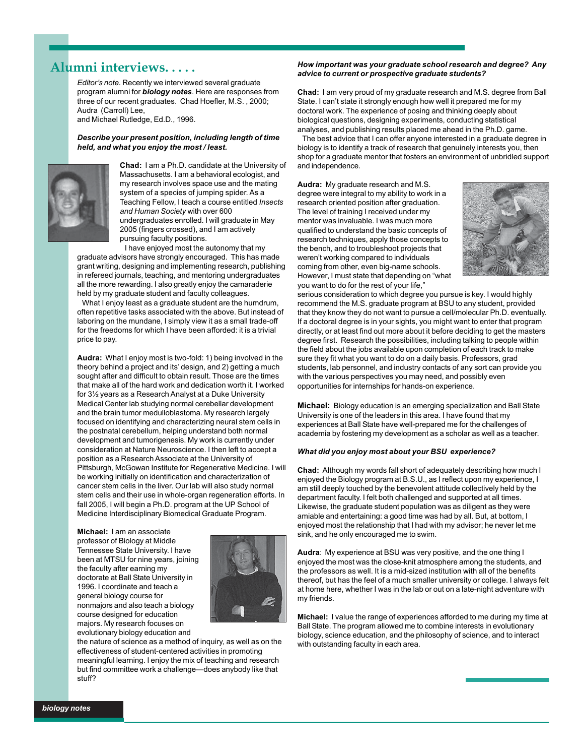# **Alumni interviews. . . . .**

*Editor's note.* Recently we interviewed several graduate program alumni for *biology notes*. Here are responses from three of our recent graduates. Chad Hoefler, M.S. , 2000; Audra (Carroll) Lee,

and Michael Rutledge, Ed.D., 1996.

#### *Describe your present position, including length of time held, and what you enjoy the most / least.*



**Chad:** I am a Ph.D. candidate at the University of Massachusetts. I am a behavioral ecologist, and my research involves space use and the mating system of a species of jumping spider. As a Teaching Fellow, I teach a course entitled *Insects and Human Society* with over 600 undergraduates enrolled. I will graduate in May 2005 (fingers crossed), and I am actively pursuing faculty positions.

 I have enjoyed most the autonomy that my graduate advisors have strongly encouraged. This has made grant writing, designing and implementing research, publishing in refereed journals, teaching, and mentoring undergraduates all the more rewarding. I also greatly enjoy the camaraderie held by my graduate student and faculty colleagues.

 What I enjoy least as a graduate student are the humdrum, often repetitive tasks associated with the above. But instead of laboring on the mundane, I simply view it as a small trade-off for the freedoms for which I have been afforded: it is a trivial price to pay.

**Audra:** What I enjoy most is two-fold: 1) being involved in the theory behind a project and its' design, and 2) getting a much sought after and difficult to obtain result. Those are the times that make all of the hard work and dedication worth it. I worked for 3½ years as a Research Analyst at a Duke University Medical Center lab studying normal cerebellar development and the brain tumor medulloblastoma. My research largely focused on identifying and characterizing neural stem cells in the postnatal cerebellum, helping understand both normal development and tumorigenesis. My work is currently under consideration at Nature Neuroscience. I then left to accept a position as a Research Associate at the University of Pittsburgh, McGowan Institute for Regenerative Medicine. I will be working initially on identification and characterization of cancer stem cells in the liver. Our lab will also study normal stem cells and their use in whole-organ regeneration efforts. In fall 2005, I will begin a Ph.D. program at the UP School of Medicine Interdisciplinary Biomedical Graduate Program.

**Michael:** I am an associate professor of Biology at Middle Tennessee State University. I have been at MTSU for nine years, joining the faculty after earning my doctorate at Ball State University in 1996. I coordinate and teach a general biology course for nonmajors and also teach a biology course designed for education majors. My research focuses on evolutionary biology education and



the nature of science as a method of inquiry, as well as on the effectiveness of student-centered activities in promoting meaningful learning. I enjoy the mix of teaching and research but find committee work a challenge—does anybody like that stuff?

#### *How important was your graduate school research and degree? Any advice to current or prospective graduate students?*

**Chad:** I am very proud of my graduate research and M.S. degree from Ball State. I can't state it strongly enough how well it prepared me for my doctoral work. The experience of posing and thinking deeply about biological questions, designing experiments, conducting statistical analyses, and publishing results placed me ahead in the Ph.D. game.

 The best advice that I can offer anyone interested in a graduate degree in biology is to identify a track of research that genuinely interests you, then shop for a graduate mentor that fosters an environment of unbridled support and independence.

**Audra:** My graduate research and M.S. degree were integral to my ability to work in a research oriented position after graduation. The level of training I received under my mentor was invaluable. I was much more qualified to understand the basic concepts of research techniques, apply those concepts to the bench, and to troubleshoot projects that weren't working compared to individuals coming from other, even big-name schools. However, I must state that depending on "what you want to do for the rest of your life,"



serious consideration to which degree you pursue is key. I would highly recommend the M.S. graduate program at BSU to any student, provided that they know they do not want to pursue a cell/molecular Ph.D. eventually. If a doctoral degree is in your sights, you might want to enter that program directly, or at least find out more about it before deciding to get the masters degree first. Research the possibilities, including talking to people within the field about the jobs available upon completion of each track to make sure they fit what you want to do on a daily basis. Professors, grad students, lab personnel, and industry contacts of any sort can provide you with the various perspectives you may need, and possibly even opportunities for internships for hands-on experience.

**Michael:** Biology education is an emerging specialization and Ball State University is one of the leaders in this area. I have found that my experiences at Ball State have well-prepared me for the challenges of academia by fostering my development as a scholar as well as a teacher.

#### *What did you enjoy most about your BSU experience?*

**Chad:** Although my words fall short of adequately describing how much I enjoyed the Biology program at B.S.U., as I reflect upon my experience, I am still deeply touched by the benevolent attitude collectively held by the department faculty. I felt both challenged and supported at all times. Likewise, the graduate student population was as diligent as they were amiable and entertaining: a good time was had by all. But, at bottom, I enjoyed most the relationship that I had with my advisor; he never let me sink, and he only encouraged me to swim.

**Audra**: My experience at BSU was very positive, and the one thing I enjoyed the most was the close-knit atmosphere among the students, and the professors as well. It is a mid-sized institution with all of the benefits thereof, but has the feel of a much smaller university or college. I always felt at home here, whether I was in the lab or out on a late-night adventure with my friends.

**Michael:** I value the range of experiences afforded to me during my time at Ball State. The program allowed me to combine interests in evolutionary biology, science education, and the philosophy of science, and to interact with outstanding faculty in each area.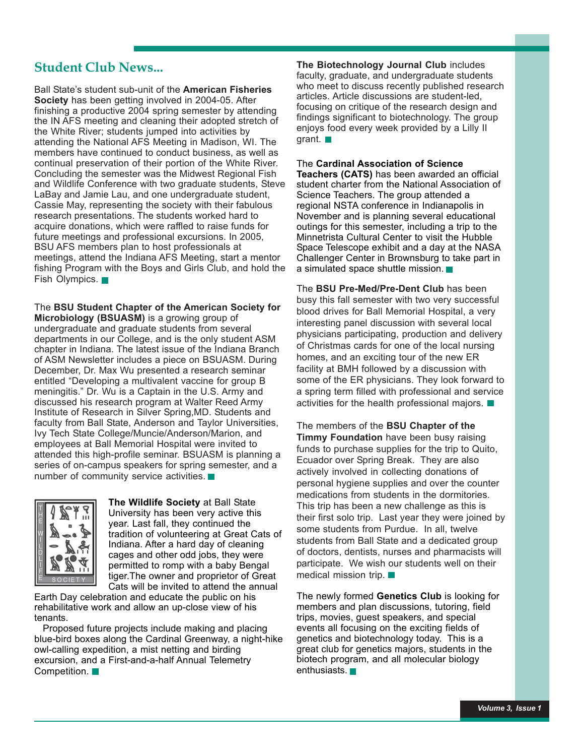Ball State's student sub-unit of the **American Fisheries Society** has been getting involved in 2004-05. After finishing a productive 2004 spring semester by attending the IN AFS meeting and cleaning their adopted stretch of the White River; students jumped into activities by attending the National AFS Meeting in Madison, WI. The members have continued to conduct business, as well as continual preservation of their portion of the White River. Concluding the semester was the Midwest Regional Fish and Wildlife Conference with two graduate students, Steve LaBay and Jamie Lau, and one undergraduate student, Cassie May, representing the society with their fabulous research presentations. The students worked hard to acquire donations, which were raffled to raise funds for future meetings and professional excursions. In 2005, BSU AFS members plan to host professionals at meetings, attend the Indiana AFS Meeting, start a mentor fishing Program with the Boys and Girls Club, and hold the Fish Olympics.

The **BSU Student Chapter of the American Society for Microbiology (BSUASM)** is a growing group of undergraduate and graduate students from several departments in our College, and is the only student ASM chapter in Indiana. The latest issue of the Indiana Branch of ASM Newsletter includes a piece on BSUASM. During December, Dr. Max Wu presented a research seminar entitled "Developing a multivalent vaccine for group B meningitis." Dr. Wu is a Captain in the U.S. Army and discussed his research program at Walter Reed Army Institute of Research in Silver Spring,MD. Students and faculty from Ball State, Anderson and Taylor Universities, Ivy Tech State College/Muncie/Anderson/Marion, and employees at Ball Memorial Hospital were invited to attended this high-profile seminar. BSUASM is planning a series of on-campus speakers for spring semester, and a number of community service activities.



**The Wildlife Society** at Ball State University has been very active this year. Last fall, they continued the tradition of volunteering at Great Cats of Indiana. After a hard day of cleaning cages and other odd jobs, they were permitted to romp with a baby Bengal tiger.The owner and proprietor of Great Cats will be invited to attend the annual

Earth Day celebration and educate the public on his rehabilitative work and allow an up-close view of his tenants.

 Proposed future projects include making and placing blue-bird boxes along the Cardinal Greenway, a night-hike owl-calling expedition, a mist netting and birding excursion, and a First-and-a-half Annual Telemetry Competition.

**Student Club News... The Biotechnology Journal Club** includes faculty, graduate, and undergraduate students who meet to discuss recently published research articles. Article discussions are student-led, focusing on critique of the research design and findings significant to biotechnology. The group enjoys food every week provided by a Lilly II grant.

### The **Cardinal Association of Science**

**Teachers (CATS)** has been awarded an official student charter from the National Association of Science Teachers. The group attended a regional NSTA conference in Indianapolis in November and is planning several educational outings for this semester, including a trip to the Minnetrista Cultural Center to visit the Hubble Space Telescope exhibit and a day at the NASA Challenger Center in Brownsburg to take part in a simulated space shuttle mission.

The **BSU Pre-Med/Pre-Dent Club** has been busy this fall semester with two very successful blood drives for Ball Memorial Hospital, a very interesting panel discussion with several local physicians participating, production and delivery of Christmas cards for one of the local nursing homes, and an exciting tour of the new ER facility at BMH followed by a discussion with some of the ER physicians. They look forward to a spring term filled with professional and service activities for the health professional majors.

The members of the **BSU Chapter of the Timmy Foundation** have been busy raising funds to purchase supplies for the trip to Quito, Ecuador over Spring Break. They are also actively involved in collecting donations of personal hygiene supplies and over the counter medications from students in the dormitories. This trip has been a new challenge as this is their first solo trip. Last year they were joined by some students from Purdue. In all, twelve students from Ball State and a dedicated group of doctors, dentists, nurses and pharmacists will participate. We wish our students well on their medical mission trip.

The newly formed **Genetics Club** is looking for members and plan discussions, tutoring, field trips, movies, guest speakers, and special events all focusing on the exciting fields of genetics and biotechnology today. This is a great club for genetics majors, students in the biotech program, and all molecular biology enthusiasts.